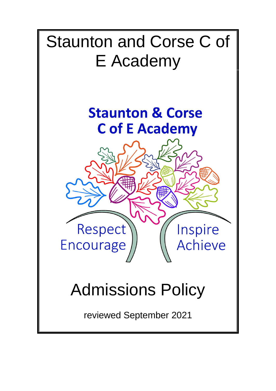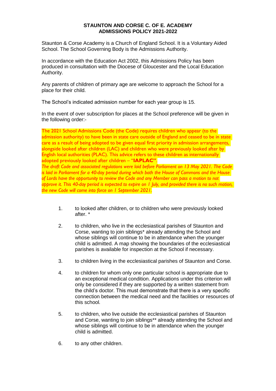## **STAUNTON AND CORSE C. OF E. ACADEMY ADMISSIONS POLICY 2021-2022**

Staunton & Corse Academy is a Church of England School. It is a Voluntary Aided School. The School Governing Body is the Admissions Authority.

In accordance with the Education Act 2002, this Admissions Policy has been produced in consultation with the Diocese of Gloucester and the Local Education Authority.

Any parents of children of primary age are welcome to approach the School for a place for their child.

The School's indicated admission number for each year group is 15.

In the event of over subscription for places at the School preference will be given in the following order:-

The 2021 School Admissions Code (the Code) requires children who appear (to the admission authority) to have been in state care outside of England and ceased to be in state care as a result of being adopted to be given equal first priority in admission arrangements, alongside looked after children (LAC) and children who were previously looked after by English local authorities (PLAC). This advice refers to these children as internationally adopted previously looked after children – "**IAPLAC"**.

*The draft Code and associated regulations were laid before Parliament on 13 May 2021. The Code is laid in Parliament for a 40-day period during which both the House of Commons and the House of Lords have the opportunity to review the Code and any Member can pass a motion to not approve it. This 40-day period is expected to expire on 1 July, and provided there is no such motion, the new Code will come into force on 1 September 2021.*

- 1. to looked after children, or to children who were previously looked after. \*
- 2. to children, who live in the ecclesiastical parishes of Staunton and Corse, wanting to join siblings\* already attending the School and whose siblings will continue to be in attendance when the younger child is admitted. A map showing the boundaries of the ecclesiastical parishes is available for inspection at the School if necessary.
- 3. to children living in the ecclesiastical parishes of Staunton and Corse.
- 4. to children for whom only one particular school is appropriate due to an exceptional medical condition. Applications under this criterion will only be considered if they are supported by a written statement from the child's doctor. This must demonstrate that there is a very specific connection between the medical need and the facilities or resources of this school*.*
- 5. to children, who live outside the ecclesiastical parishes of Staunton and Corse, wanting to join siblings\*\* already attending the School and whose siblings will continue to be in attendance when the younger child is admitted.
- 6. to any other children.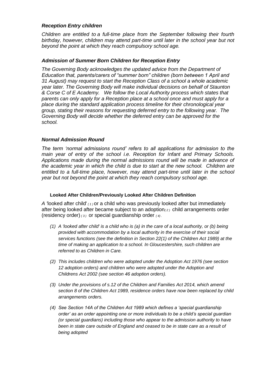## *Reception Entry children*

*Children are entitled to a full-time place from the September following their fourth birthday, however, children may attend part-time until later in the school year but not beyond the point at which they reach compulsory school age.*

## *Admission of Summer Born Children for Reception Entry*

The Governing Body acknowledges the updated advice from the Department of *Education that, parents/carers of "summer born" children (born between 1 April and 31 August) may request to start the Reception Class of a school a whole academic year later. The Governing Body will make individual decisions on behalf of Staunton & Corse C of E Academy. We follow the Local Authority process which states that parents can only apply for a Reception place at a school once and must apply for a place during the standard application process timeline for their chronological year group, stating their reasons for requesting deferred entry to the following year. The Governing Body will decide whether the deferred entry can be approved for the school.*

# *Normal Admission Round*

*The term 'normal admissions round' refers to all applications for admission to the main year of entry of the school i.e. Reception for Infant and Primary Schools. Applications made during the normal admissions round will be made in advance of the academic year in which the child is due to start at the new school. Children are entitled to a full-time place, however, may attend part-time until later in the school year but not beyond the point at which they reach compulsory school age.*

#### **Looked After Children/Previously Looked After Children Definition**

*A '*looked after child' *( 1 )* or a child who was previously looked after but immediately after being looked after became subject to an adoption*( 2 )* child arrangements order (residency order) *( 3 )* or special guardianship order *( 4) .*

- *(1) A 'looked after child' is a child who is (a) in the care of a local authority, or (b) being provided with accommodation by a local authority in the exercise of their social services functions (see the definition in Section 22(1) of the Children Act 1989) at the time of making an application to a school. In Gloucestershire, such children are referred to as Children in Care.*
- *(2) This includes children who were adopted under the Adoption Act 1976 (see section 12 adoption orders) and children who were adopted under the Adoption and Childrens Act 2002 (see section 46 adoption orders).*
- *(3) Under the provisions of s.12 of the Children and Families Act 2014, which amend section 8 of the Children Act 1989, residence orders have now been replaced by child arrangements orders.*
- *(4) See Section 14A of the Children Act 1989 which defines a 'special guardianship order' as an order appointing one or more individuals to be a child's special guardian (or special guardians) including those who appear to the admission authority to have been in state care outside of England and ceased to be in state care as a result of being adopted*